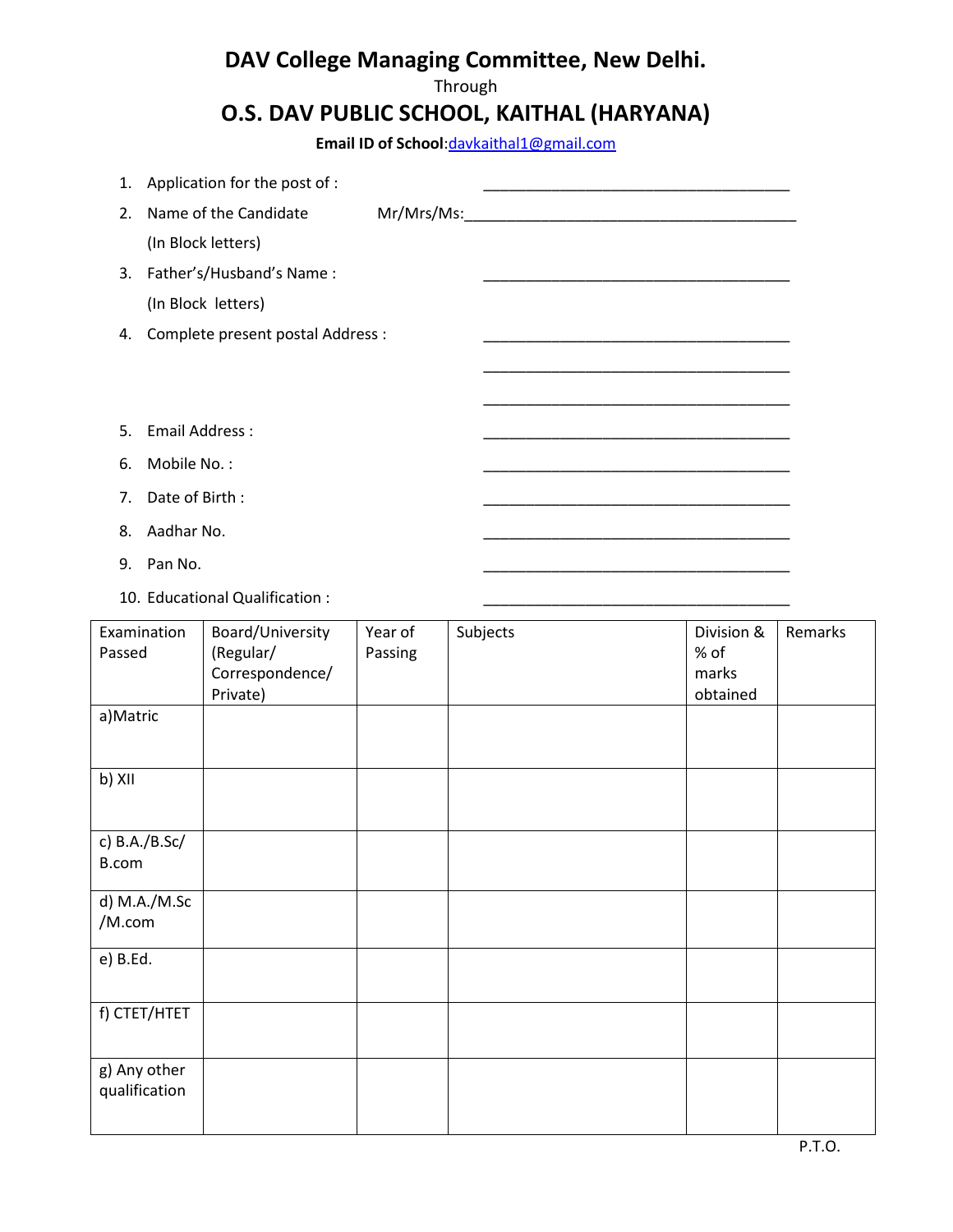## **DAV College Managing Committee, New Delhi.**

## Through

## **O.S. DAV PUBLIC SCHOOL, KAITHAL (HARYANA)**

**Email ID of School**[:davkaithal1@gmail.com](mailto:davkaithal1@gmail.com)

| 1.                     |                       | Application for the post of :                                |                    |          |                                         |         |  |  |
|------------------------|-----------------------|--------------------------------------------------------------|--------------------|----------|-----------------------------------------|---------|--|--|
| 2.                     |                       | Name of the Candidate                                        | Mr/Mrs/Ms:         |          |                                         |         |  |  |
|                        |                       | (In Block letters)                                           |                    |          |                                         |         |  |  |
| 3.                     |                       | Father's/Husband's Name:                                     |                    |          |                                         |         |  |  |
|                        |                       | (In Block letters)                                           |                    |          |                                         |         |  |  |
| 4.                     |                       | Complete present postal Address :                            |                    |          |                                         |         |  |  |
|                        |                       |                                                              |                    |          |                                         |         |  |  |
|                        |                       |                                                              |                    |          |                                         |         |  |  |
| 5.                     | <b>Email Address:</b> |                                                              |                    |          |                                         |         |  |  |
| 6.                     | Mobile No.:           |                                                              |                    |          |                                         |         |  |  |
| 7.                     | Date of Birth:        |                                                              |                    |          |                                         |         |  |  |
| 8.                     | Aadhar No.            |                                                              |                    |          |                                         |         |  |  |
| 9.                     | Pan No.               |                                                              |                    |          |                                         |         |  |  |
|                        |                       | 10. Educational Qualification:                               |                    |          |                                         |         |  |  |
| Examination<br>Passed  |                       | Board/University<br>(Regular/<br>Correspondence/<br>Private) | Year of<br>Passing | Subjects | Division &<br>% of<br>marks<br>obtained | Remarks |  |  |
| a)Matric               |                       |                                                              |                    |          |                                         |         |  |  |
| b) XII                 |                       |                                                              |                    |          |                                         |         |  |  |
| c) B.A./B.Sc/<br>B.com |                       |                                                              |                    |          |                                         |         |  |  |
| d) M.A./M.Sc<br>/M.com |                       |                                                              |                    |          |                                         |         |  |  |
| e) B.Ed.               |                       |                                                              |                    |          |                                         |         |  |  |
|                        | f) CTET/HTET          |                                                              |                    |          |                                         |         |  |  |
| g) Any other           |                       |                                                              |                    |          |                                         |         |  |  |

qualification